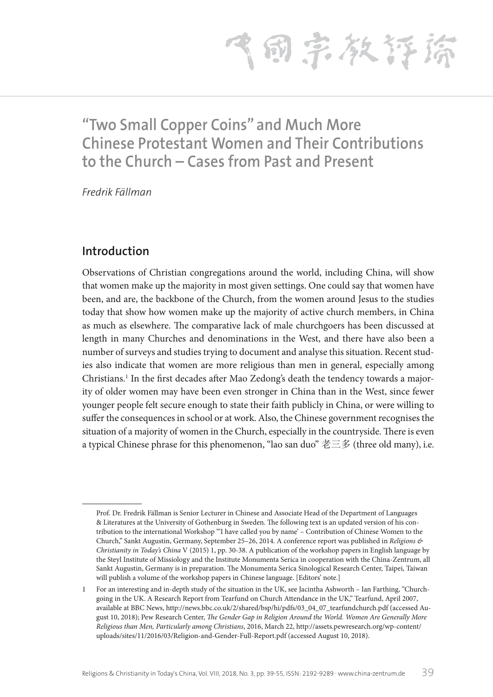飞雨宗教存裕

# **"Two Small Copper Coins" and Much More Chinese Protestant Women and Their Contributions to the Church – Cases from Past and Present**

*Fredrik Fällman*

## **Introduction**

Observations of Christian congregations around the world, including China, will show that women make up the majority in most given settings. One could say that women have been, and are, the backbone of the Church, from the women around Jesus to the studies today that show how women make up the majority of active church members, in China as much as elsewhere. The comparative lack of male churchgoers has been discussed at length in many Churches and denominations in the West, and there have also been a number of surveys and studies trying to document and analyse this situation. Recent studies also indicate that women are more religious than men in general, especially among Christians.<sup>1</sup> In the first decades after Mao Zedong's death the tendency towards a majority of older women may have been even stronger in China than in the West, since fewer younger people felt secure enough to state their faith publicly in China, or were willing to suffer the consequences in school or at work. Also, the Chinese government recognises the situation of a majority of women in the Church, especially in the countryside. There is even a typical Chinese phrase for this phenomenon, "lao san duo" 老三多 (three old many), i.e.

Prof. Dr. Fredrik Fällman is Senior Lecturer in Chinese and Associate Head of the Department of Languages & Literatures at the University of Gothenburg in Sweden. The following text is an updated version of his contribution to the international Workshop "'I have called you by name' – Contribution of Chinese Women to the Church," Sankt Augustin, Germany, September 25–26, 2014. A conference report was published in *Religions & Christianity in Today's China* V (2015) 1, pp. 30-38. A publication of the workshop papers in English language by the Steyl Institute of Missiology and the Institute Monumenta Serica in cooperation with the China-Zentrum, all Sankt Augustin, Germany is in preparation. The Monumenta Serica Sinological Research Center, Taipei, Taiwan will publish a volume of the workshop papers in Chinese language. [Editors' note.]

<sup>1</sup> For an interesting and in-depth study of the situation in the UK, see Jacintha Ashworth – Ian Farthing, "Churchgoing in the UK. A Research Report from Tearfund on Church Attendance in the UK," Tearfund, April 2007, available at BBC News, http://news.bbc.co.uk/2/shared/bsp/hi/pdfs/03\_04\_07\_tearfundchurch.pdf (accessed August 10, 2018); Pew Research Center, *The Gender Gap in Religion Around the World. Women Are Generally More Religious than Men, Particularly among Christians*, 2016, March 22, http://assets.pewresearch.org/wp-content/ uploads/sites/11/2016/03/Religion-and-Gender-Full-Report.pdf (accessed August 10, 2018).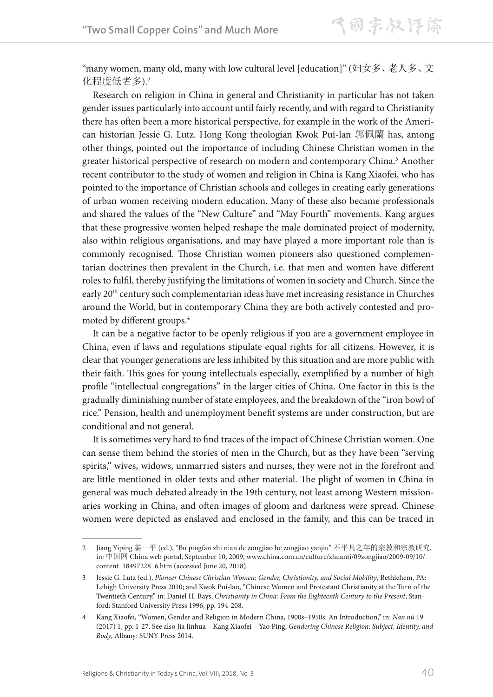"many women, many old, many with low cultural level [education]" (妇女多、老人多、文 化程度低者多).2

Research on religion in China in general and Christianity in particular has not taken gender issues particularly into account until fairly recently, and with regard to Christianity there has often been a more historical perspective, for example in the work of the American historian Jessie G. Lutz. Hong Kong theologian Kwok Pui-lan 郭佩蘭 has, among other things, pointed out the importance of including Chinese Christian women in the greater historical perspective of research on modern and contemporary China.<sup>3</sup> Another recent contributor to the study of women and religion in China is Kang Xiaofei, who has pointed to the importance of Christian schools and colleges in creating early generations of urban women receiving modern education. Many of these also became professionals and shared the values of the "New Culture" and "May Fourth" movements. Kang argues that these progressive women helped reshape the male dominated project of modernity, also within religious organisations, and may have played a more important role than is commonly recognised. Those Christian women pioneers also questioned complementarian doctrines then prevalent in the Church, i.e. that men and women have different roles to fulfil, thereby justifying the limitations of women in society and Church. Since the early 20th century such complementarian ideas have met increasing resistance in Churches around the World, but in contemporary China they are both actively contested and promoted by different groups.4

It can be a negative factor to be openly religious if you are a government employee in China, even if laws and regulations stipulate equal rights for all citizens. However, it is clear that younger generations are less inhibited by this situation and are more public with their faith. This goes for young intellectuals especially, exemplified by a number of high profile "intellectual congregations" in the larger cities of China. One factor in this is the gradually diminishing number of state employees, and the breakdown of the "iron bowl of rice." Pension, health and unemployment benefit systems are under construction, but are conditional and not general.

It is sometimes very hard to find traces of the impact of Chinese Christian women. One can sense them behind the stories of men in the Church, but as they have been "serving spirits," wives, widows, unmarried sisters and nurses, they were not in the forefront and are little mentioned in older texts and other material. The plight of women in China in general was much debated already in the 19th century, not least among Western missionaries working in China, and often images of gloom and darkness were spread. Chinese women were depicted as enslaved and enclosed in the family, and this can be traced in

<sup>2</sup> Jiang Yiping 姜一平 (ed.), "Bu pingfan zhi nian de zongjiao he zongjiao yanjiu" 不平凡之年的宗教和宗教研究, in: 中国网 China web portal, September 10, 2009, www.china.com.cn/culture/zhuanti/09zongjiao/2009-09/10/ content\_18497228\_6.htm (accessed June 20, 2018).

<sup>3</sup> Jessie G. Lutz (ed.), *Pioneer Chinese Christian Women: Gender, Christianity, and Social Mobility*, Bethlehem, PA: Lehigh University Press 2010; and Kwok Pui-lan, "Chinese Women and Protestant Christianity at the Turn of the Twentieth Century," in: Daniel H. Bays, *Christianity in China: From the Eighteenth Century to the Present*, Stanford: Stanford University Press 1996, pp. 194-208.

<sup>4</sup> Kang Xiaofei, "Women, Gender and Religion in Modern China, 1900s–1950s: An Introduction," in: *Nan nü* 19 (2017) 1, pp. 1-27. See also Jia Jinhua – Kang Xiaofei – Yao Ping, *Gendering Chinese Religion: Subject, Identity, and Body*, Albany: SUNY Press 2014.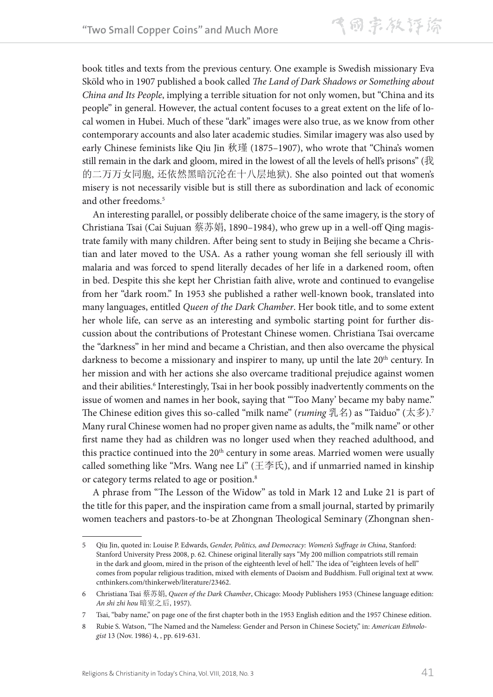book titles and texts from the previous century. One example is Swedish missionary Eva Sköld who in 1907 published a book called *The Land of Dark Shadows or Something about China and Its People*, implying a terrible situation for not only women, but "China and its people" in general. However, the actual content focuses to a great extent on the life of local women in Hubei. Much of these "dark" images were also true, as we know from other contemporary accounts and also later academic studies. Similar imagery was also used by early Chinese feminists like Qiu Jin 秋瑾 (1875–1907), who wrote that "China's women still remain in the dark and gloom, mired in the lowest of all the levels of hell's prisons" (我 的二万万女同胞, 还依然黑暗沉沦在十八层地狱). She also pointed out that women's misery is not necessarily visible but is still there as subordination and lack of economic and other freedoms.<sup>5</sup>

An interesting parallel, or possibly deliberate choice of the same imagery, is the story of Christiana Tsai (Cai Sujuan 蔡苏娟, 1890–1984), who grew up in a well-off Qing magistrate family with many children. After being sent to study in Beijing she became a Christian and later moved to the USA. As a rather young woman she fell seriously ill with malaria and was forced to spend literally decades of her life in a darkened room, often in bed. Despite this she kept her Christian faith alive, wrote and continued to evangelise from her "dark room." In 1953 she published a rather well-known book, translated into many languages, entitled *Queen of the Dark Chamber*. Her book title, and to some extent her whole life, can serve as an interesting and symbolic starting point for further discussion about the contributions of Protestant Chinese women. Christiana Tsai overcame the "darkness" in her mind and became a Christian, and then also overcame the physical darkness to become a missionary and inspirer to many, up until the late 20<sup>th</sup> century. In her mission and with her actions she also overcame traditional prejudice against women and their abilities.<sup>6</sup> Interestingly, Tsai in her book possibly inadvertently comments on the issue of women and names in her book, saying that "'Too Many' became my baby name." The Chinese edition gives this so-called "milk name" (*ruming* 乳名) as "Taiduo" (太多).7 Many rural Chinese women had no proper given name as adults, the "milk name" or other first name they had as children was no longer used when they reached adulthood, and this practice continued into the 20<sup>th</sup> century in some areas. Married women were usually called something like "Mrs. Wang nee Li" (王李氏), and if unmarried named in kinship or category terms related to age or position.<sup>8</sup>

A phrase from "The Lesson of the Widow" as told in Mark 12 and Luke 21 is part of the title for this paper, and the inspiration came from a small journal, started by primarily women teachers and pastors-to-be at Zhongnan Theological Seminary (Zhongnan shen-

<sup>5</sup> Qiu Jin, quoted in: Louise P. Edwards, *Gender, Politics, and Democracy: Women's Suffrage in China*, Stanford: Stanford University Press 2008, p. 62. Chinese original literally says "My 200 million compatriots still remain in the dark and gloom, mired in the prison of the eighteenth level of hell." The idea of "eighteen levels of hell" comes from popular religious tradition, mixed with elements of Daoism and Buddhism. Full original text at www. cnthinkers.com/thinkerweb/literature/23462.

<sup>6</sup> Christiana Tsai 蔡苏娟, *Queen of the Dark Chamber*, Chicago: Moody Publishers 1953 (Chinese language edition: *An shi zhi hou* 暗室之后, 1957).

<sup>7</sup> Tsai, "baby name," on page one of the first chapter both in the 1953 English edition and the 1957 Chinese edition.

<sup>8</sup> Rubie S. Watson, "The Named and the Nameless: Gender and Person in Chinese Society," in: *American Ethnologist* 13 (Nov. 1986) 4, , pp. 619-631.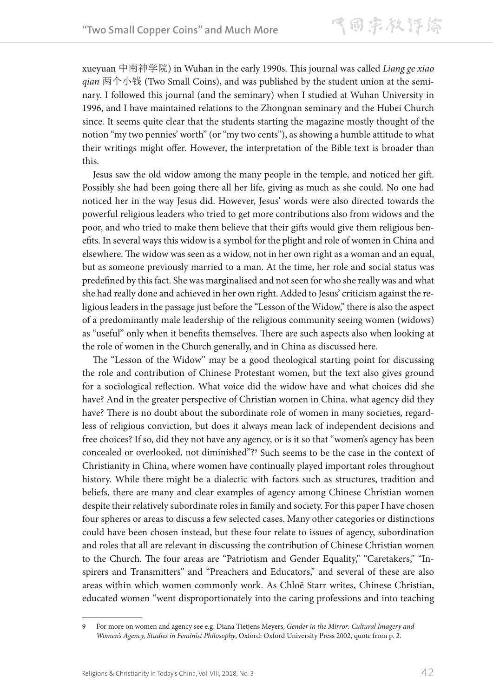xueyuan 中南神学院) in Wuhan in the early 1990s. This journal was called *Liang ge xiao qian* 两个小钱 (Two Small Coins), and was published by the student union at the seminary. I followed this journal (and the seminary) when I studied at Wuhan University in 1996, and I have maintained relations to the Zhongnan seminary and the Hubei Church since. It seems quite clear that the students starting the magazine mostly thought of the notion "my two pennies' worth" (or "my two cents"), as showing a humble attitude to what their writings might offer. However, the interpretation of the Bible text is broader than this.

Jesus saw the old widow among the many people in the temple, and noticed her gift. Possibly she had been going there all her life, giving as much as she could. No one had noticed her in the way Jesus did. However, Jesus' words were also directed towards the powerful religious leaders who tried to get more contributions also from widows and the poor, and who tried to make them believe that their gifts would give them religious benefits. In several ways this widow is a symbol for the plight and role of women in China and elsewhere. The widow was seen as a widow, not in her own right as a woman and an equal, but as someone previously married to a man. At the time, her role and social status was predefined by this fact. She was marginalised and not seen for who she really was and what she had really done and achieved in her own right. Added to Jesus' criticism against the religious leaders in the passage just before the "Lesson of the Widow," there is also the aspect of a predominantly male leadership of the religious community seeing women (widows) as "useful" only when it benefits themselves. There are such aspects also when looking at the role of women in the Church generally, and in China as discussed here.

The "Lesson of the Widow" may be a good theological starting point for discussing the role and contribution of Chinese Protestant women, but the text also gives ground for a sociological reflection. What voice did the widow have and what choices did she have? And in the greater perspective of Christian women in China, what agency did they have? There is no doubt about the subordinate role of women in many societies, regardless of religious conviction, but does it always mean lack of independent decisions and free choices? If so, did they not have any agency, or is it so that "women's agency has been concealed or overlooked, not diminished"?9 Such seems to be the case in the context of Christianity in China, where women have continually played important roles throughout history. While there might be a dialectic with factors such as structures, tradition and beliefs, there are many and clear examples of agency among Chinese Christian women despite their relatively subordinate roles in family and society. For this paper I have chosen four spheres or areas to discuss a few selected cases. Many other categories or distinctions could have been chosen instead, but these four relate to issues of agency, subordination and roles that all are relevant in discussing the contribution of Chinese Christian women to the Church. The four areas are "Patriotism and Gender Equality," "Caretakers," "Inspirers and Transmitters" and "Preachers and Educators," and several of these are also areas within which women commonly work. As Chloë Starr writes, Chinese Christian, educated women "went disproportionately into the caring professions and into teaching

<sup>9</sup> For more on women and agency see e.g. Diana Tietjens Meyers, *Gender in the Mirror: Cultural Imagery and Women's Agency, Studies in Feminist Philosophy*, Oxford: Oxford University Press 2002, quote from p. 2.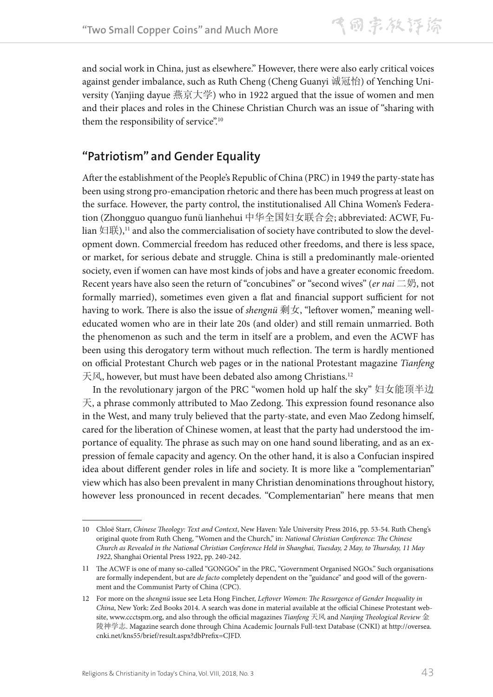and social work in China, just as elsewhere." However, there were also early critical voices against gender imbalance, such as Ruth Cheng (Cheng Guanyi 诚冠怡) of Yenching University (Yanjing dayue 燕京大学) who in 1922 argued that the issue of women and men and their places and roles in the Chinese Christian Church was an issue of "sharing with them the responsibility of service".<sup>10</sup>

## **"Patriotism" and Gender Equality**

After the establishment of the People's Republic of China (PRC) in 1949 the party-state has been using strong pro-emancipation rhetoric and there has been much progress at least on the surface. However, the party control, the institutionalised All China Women's Federation (Zhongguo quanguo funü lianhehui 中华全国妇女联合会; abbreviated: ACWF, Fulian 妇联),<sup>11</sup> and also the commercialisation of society have contributed to slow the development down. Commercial freedom has reduced other freedoms, and there is less space, or market, for serious debate and struggle. China is still a predominantly male-oriented society, even if women can have most kinds of jobs and have a greater economic freedom. Recent years have also seen the return of "concubines" or "second wives" (*er nai* 二奶, not formally married), sometimes even given a flat and financial support sufficient for not having to work. There is also the issue of *shengnü* 剩女, "leftover women," meaning welleducated women who are in their late 20s (and older) and still remain unmarried. Both the phenomenon as such and the term in itself are a problem, and even the ACWF has been using this derogatory term without much reflection. The term is hardly mentioned on official Protestant Church web pages or in the national Protestant magazine *Tianfeng* 天风, however, but must have been debated also among Christians.12

In the revolutionary jargon of the PRC "women hold up half the sky" 妇女能顶半边 天, a phrase commonly attributed to Mao Zedong. This expression found resonance also in the West, and many truly believed that the party-state, and even Mao Zedong himself, cared for the liberation of Chinese women, at least that the party had understood the importance of equality. The phrase as such may on one hand sound liberating, and as an expression of female capacity and agency. On the other hand, it is also a Confucian inspired idea about different gender roles in life and society. It is more like a "complementarian" view which has also been prevalent in many Christian denominations throughout history, however less pronounced in recent decades. "Complementarian" here means that men

<sup>10</sup> Chloë Starr, *Chinese Theology: Text and Context*, New Haven: Yale University Press 2016, pp. 53-54. Ruth Cheng's original quote from Ruth Cheng, "Women and the Church," in: *National Christian Conference: The Chinese Church as Revealed in the National Christian Conference Held in Shanghai, Tuesday, 2 May, to Thursday, 11 May 1922*, Shanghai Oriental Press 1922, pp. 240-242.

<sup>11</sup> The ACWF is one of many so-called "GONGOs" in the PRC, "Government Organised NGOs." Such organisations are formally independent, but are *de facto* completely dependent on the "guidance" and good will of the government and the Communist Party of China (CPC).

<sup>12</sup> For more on the *shengnü* issue see Leta Hong Fincher, *Leftover Women: The Resurgence of Gender Inequality in China*, New York: Zed Books 2014. A search was done in material available at the official Chinese Protestant website, www.ccctspm.org, and also through the official magazines *Tianfeng* 天风 and *Nanjing Theological Review* 金 陵神学志. Magazine search done through China Academic Journals Full-text Database (CNKI) at http://oversea. cnki.net/kns55/brief/result.aspx?dbPrefix=CJFD.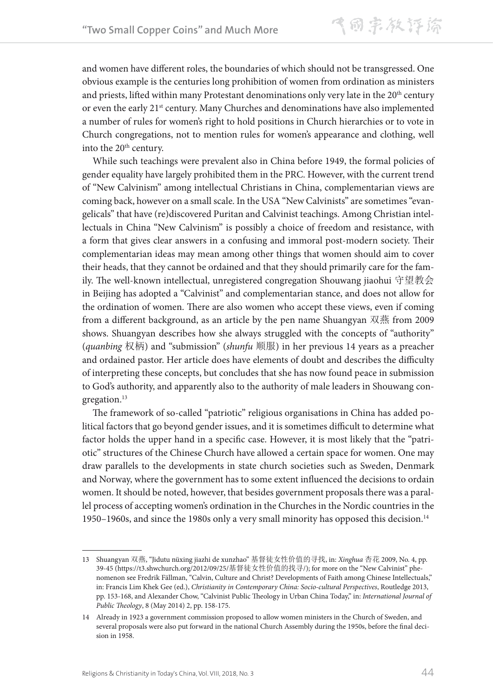and women have different roles, the boundaries of which should not be transgressed. One obvious example is the centuries long prohibition of women from ordination as ministers and priests, lifted within many Protestant denominations only very late in the 20<sup>th</sup> century or even the early 21<sup>st</sup> century. Many Churches and denominations have also implemented a number of rules for women's right to hold positions in Church hierarchies or to vote in Church congregations, not to mention rules for women's appearance and clothing, well into the 20<sup>th</sup> century.

While such teachings were prevalent also in China before 1949, the formal policies of gender equality have largely prohibited them in the PRC. However, with the current trend of "New Calvinism" among intellectual Christians in China, complementarian views are coming back, however on a small scale. In the USA "New Calvinists" are sometimes "evangelicals" that have (re)discovered Puritan and Calvinist teachings. Among Christian intellectuals in China "New Calvinism" is possibly a choice of freedom and resistance, with a form that gives clear answers in a confusing and immoral post-modern society. Their complementarian ideas may mean among other things that women should aim to cover their heads, that they cannot be ordained and that they should primarily care for the family. The well-known intellectual, unregistered congregation Shouwang jiaohui 守望教会 in Beijing has adopted a "Calvinist" and complementarian stance, and does not allow for the ordination of women. There are also women who accept these views, even if coming from a different background, as an article by the pen name Shuangyan 双燕 from 2009 shows. Shuangyan describes how she always struggled with the concepts of "authority" (*quanbing* 权柄) and "submission" (*shunfu* 顺服) in her previous 14 years as a preacher and ordained pastor. Her article does have elements of doubt and describes the difficulty of interpreting these concepts, but concludes that she has now found peace in submission to God's authority, and apparently also to the authority of male leaders in Shouwang congregation.<sup>13</sup>

The framework of so-called "patriotic" religious organisations in China has added political factors that go beyond gender issues, and it is sometimes difficult to determine what factor holds the upper hand in a specific case. However, it is most likely that the "patriotic" structures of the Chinese Church have allowed a certain space for women. One may draw parallels to the developments in state church societies such as Sweden, Denmark and Norway, where the government has to some extent influenced the decisions to ordain women. It should be noted, however, that besides government proposals there was a parallel process of accepting women's ordination in the Churches in the Nordic countries in the 1950–1960s, and since the 1980s only a very small minority has opposed this decision.<sup>14</sup>

<sup>13</sup> Shuangyan 双燕, "Jidutu nüxing jiazhi de xunzhao" 基督徒女性价值的寻找, in: *Xinghua* 杏花 2009, No. 4, pp. 39-45 (https://t3.shwchurch.org/2012/09/25/基督徒女性价值的找寻/); for more on the "New Calvinist" phenomenon see Fredrik Fällman, "Calvin, Culture and Christ? Developments of Faith among Chinese Intellectuals," in: Francis Lim Khek Gee (ed.), *Christianity in Contemporary China: Socio-cultural Perspectives*, Routledge 2013, pp. 153-168, and Alexander Chow, "Calvinist Public Theology in Urban China Today," in: *International Journal of Public Theology*, 8 (May 2014) 2, pp. 158-175.

<sup>14</sup> Already in 1923 a government commission proposed to allow women ministers in the Church of Sweden, and several proposals were also put forward in the national Church Assembly during the 1950s, before the final decision in 1958.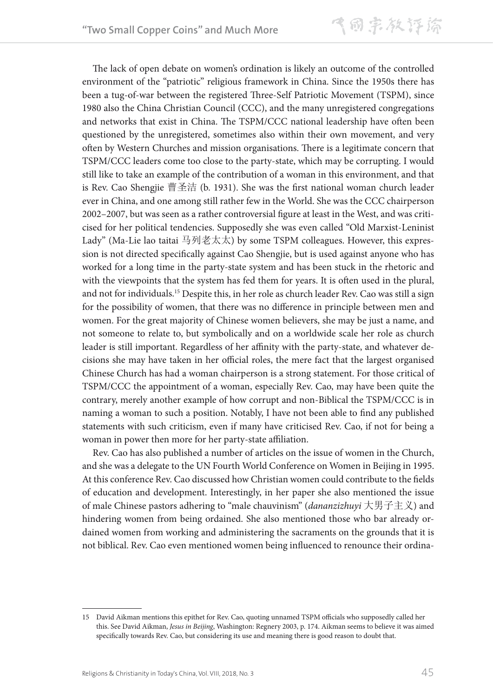气同宗教评除

The lack of open debate on women's ordination is likely an outcome of the controlled environment of the "patriotic" religious framework in China. Since the 1950s there has been a tug-of-war between the registered Three-Self Patriotic Movement (TSPM), since 1980 also the China Christian Council (CCC), and the many unregistered congregations and networks that exist in China. The TSPM/CCC national leadership have often been questioned by the unregistered, sometimes also within their own movement, and very often by Western Churches and mission organisations. There is a legitimate concern that TSPM/CCC leaders come too close to the party-state, which may be corrupting. I would still like to take an example of the contribution of a woman in this environment, and that is Rev. Cao Shengjie 曹圣洁 (b. 1931). She was the first national woman church leader ever in China, and one among still rather few in the World. She was the CCC chairperson 2002–2007, but was seen as a rather controversial figure at least in the West, and was criticised for her political tendencies. Supposedly she was even called "Old Marxist-Leninist Lady" (Ma-Lie lao taitai 马列老太太) by some TSPM colleagues. However, this expression is not directed specifically against Cao Shengjie, but is used against anyone who has worked for a long time in the party-state system and has been stuck in the rhetoric and with the viewpoints that the system has fed them for years. It is often used in the plural, and not for individuals.15 Despite this, in her role as church leader Rev. Cao was still a sign for the possibility of women, that there was no difference in principle between men and women. For the great majority of Chinese women believers, she may be just a name, and not someone to relate to, but symbolically and on a worldwide scale her role as church leader is still important. Regardless of her affinity with the party-state, and whatever decisions she may have taken in her official roles, the mere fact that the largest organised Chinese Church has had a woman chairperson is a strong statement. For those critical of TSPM/CCC the appointment of a woman, especially Rev. Cao, may have been quite the contrary, merely another example of how corrupt and non-Biblical the TSPM/CCC is in naming a woman to such a position. Notably, I have not been able to find any published statements with such criticism, even if many have criticised Rev. Cao, if not for being a woman in power then more for her party-state affiliation.

Rev. Cao has also published a number of articles on the issue of women in the Church, and she was a delegate to the UN Fourth World Conference on Women in Beijing in 1995. At this conference Rev. Cao discussed how Christian women could contribute to the fields of education and development. Interestingly, in her paper she also mentioned the issue of male Chinese pastors adhering to "male chauvinism" (*dananzizhuyi* 大男子主义) and hindering women from being ordained. She also mentioned those who bar already ordained women from working and administering the sacraments on the grounds that it is not biblical. Rev. Cao even mentioned women being influenced to renounce their ordina-

<sup>15</sup> David Aikman mentions this epithet for Rev. Cao, quoting unnamed TSPM officials who supposedly called her this. See David Aikman, *Jesus in Beijing*, Washington: Regnery 2003, p. 174. Aikman seems to believe it was aimed specifically towards Rev. Cao, but considering its use and meaning there is good reason to doubt that.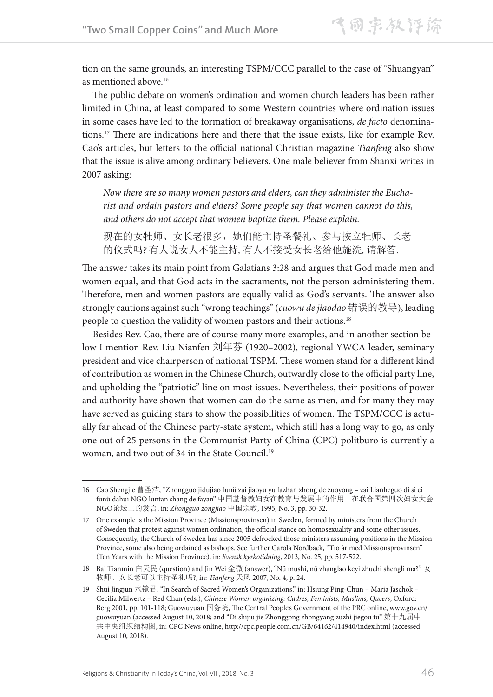tion on the same grounds, an interesting TSPM/CCC parallel to the case of "Shuangyan" as mentioned above.16

The public debate on women's ordination and women church leaders has been rather limited in China, at least compared to some Western countries where ordination issues in some cases have led to the formation of breakaway organisations, *de facto* denominations.17 There are indications here and there that the issue exists, like for example Rev. Cao's articles, but letters to the official national Christian magazine *Tianfeng* also show that the issue is alive among ordinary believers. One male believer from Shanxi writes in 2007 asking:

*Now there are so many women pastors and elders, can they administer the Eucharist and ordain pastors and elders? Some people say that women cannot do this, and others do not accept that women baptize them. Please explain.*

现在的女牡师、女长老很多,她们能主持圣餐礼、参与按立牡师、长老 的仪式吗*?* 有人说女人不能主持*,* 有人不接受女长老给他施洗*,* 请解答*.*

The answer takes its main point from Galatians 3:28 and argues that God made men and women equal, and that God acts in the sacraments, not the person administering them. Therefore, men and women pastors are equally valid as God's servants. The answer also strongly cautions against such "wrong teachings" (*cuowu de jiaodao* 错误的教导), leading people to question the validity of women pastors and their actions.<sup>18</sup>

Besides Rev. Cao, there are of course many more examples, and in another section below I mention Rev. Liu Nianfen 刘年芬 (1920–2002), regional YWCA leader, seminary president and vice chairperson of national TSPM. These women stand for a different kind of contribution as women in the Chinese Church, outwardly close to the official party line, and upholding the "patriotic" line on most issues. Nevertheless, their positions of power and authority have shown that women can do the same as men, and for many they may have served as guiding stars to show the possibilities of women. The TSPM/CCC is actually far ahead of the Chinese party-state system, which still has a long way to go, as only one out of 25 persons in the Communist Party of China (CPC) politburo is currently a woman, and two out of 34 in the State Council.19

<sup>16</sup> Cao Shengjie 曹圣洁, "Zhongguo jidujiao funü zai jiaoyu yu fazhan zhong de zuoyong – zai Lianheguo di si ci funü dahui NGO luntan shang de fayan" 中国基督教妇女在教育与发展中的作用—在联合国第四次妇女大会 NGO论坛上的发言, in: *Zhongguo zongjiao* 中国宗教, 1995, No. 3, pp. 30-32.

<sup>17</sup> One example is the Mission Province (Missionsprovinsen) in Sweden, formed by ministers from the Church of Sweden that protest against women ordination, the official stance on homosexuality and some other issues. Consequently, the Church of Sweden has since 2005 defrocked those ministers assuming positions in the Mission Province, some also being ordained as bishops. See further Carola Nordbäck, "Tio år med Missionsprovinsen" (Ten Years with the Mission Province), in: *Svensk kyrkotidning*, 2013, No. 25, pp. 517-522.

<sup>18</sup> Bai Tianmin 白天民 (question) and Jin Wei 金微 (answer), "Nü mushi, nü zhanglao keyi zhuchi shengli ma?" 女 牧师、女长老可以主持圣礼吗?, in: *Tianfeng* 天风 2007, No. 4, p. 24.

<sup>19</sup> Shui Jingjun 水镜君, "In Search of Sacred Women's Organizations," in: Hsiung Ping-Chun – Maria Jaschok – Cecilia Milwertz – Red Chan (eds.), *Chinese Women organizing: Cadres, Feminists, Muslims, Queers*, Oxford: Berg 2001, pp. 101-118; Guowuyuan 国务院, The Central People's Government of the PRC online, www.gov.cn/ guowuyuan (accessed August 10, 2018; and "Di shijiu jie Zhonggong zhongyang zuzhi jiegou tu" 第十九届中 共中央组织结构图, in: CPC News online, http://cpc.people.com.cn/GB/64162/414940/index.html (accessed August 10, 2018).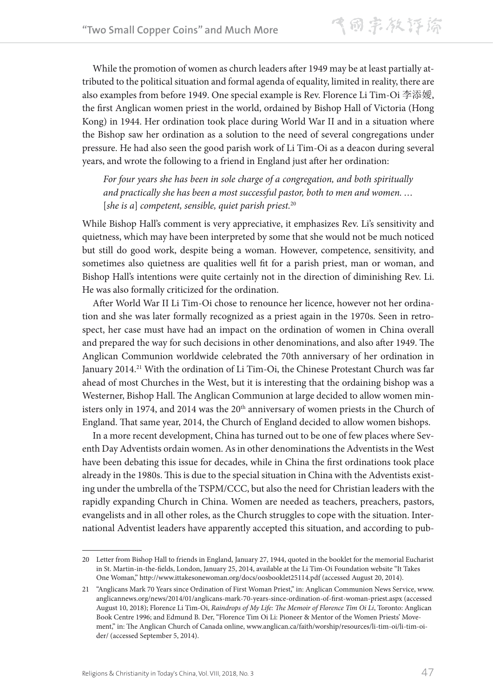While the promotion of women as church leaders after 1949 may be at least partially attributed to the political situation and formal agenda of equality, limited in reality, there are also examples from before 1949. One special example is Rev. Florence Li Tim-Oi 李添嬡, the first Anglican women priest in the world, ordained by Bishop Hall of Victoria (Hong Kong) in 1944. Her ordination took place during World War II and in a situation where the Bishop saw her ordination as a solution to the need of several congregations under pressure. He had also seen the good parish work of Li Tim-Oi as a deacon during several years, and wrote the following to a friend in England just after her ordination:

*For four years she has been in sole charge of a congregation, and both spiritually and practically she has been a most successful pastor, both to men and women. …*  [*she is a*] *competent, sensible, quiet parish priest.*<sup>20</sup>

While Bishop Hall's comment is very appreciative, it emphasizes Rev. Li's sensitivity and quietness, which may have been interpreted by some that she would not be much noticed but still do good work, despite being a woman. However, competence, sensitivity, and sometimes also quietness are qualities well fit for a parish priest, man or woman, and Bishop Hall's intentions were quite certainly not in the direction of diminishing Rev. Li. He was also formally criticized for the ordination.

After World War II Li Tim-Oi chose to renounce her licence, however not her ordination and she was later formally recognized as a priest again in the 1970s. Seen in retrospect, her case must have had an impact on the ordination of women in China overall and prepared the way for such decisions in other denominations, and also after 1949. The Anglican Communion worldwide celebrated the 70th anniversary of her ordination in January 2014.<sup>21</sup> With the ordination of Li Tim-Oi, the Chinese Protestant Church was far ahead of most Churches in the West, but it is interesting that the ordaining bishop was a Westerner, Bishop Hall. The Anglican Communion at large decided to allow women ministers only in 1974, and 2014 was the 20<sup>th</sup> anniversary of women priests in the Church of England. That same year, 2014, the Church of England decided to allow women bishops.

In a more recent development, China has turned out to be one of few places where Seventh Day Adventists ordain women. As in other denominations the Adventists in the West have been debating this issue for decades, while in China the first ordinations took place already in the 1980s. This is due to the special situation in China with the Adventists existing under the umbrella of the TSPM/CCC, but also the need for Christian leaders with the rapidly expanding Church in China. Women are needed as teachers, preachers, pastors, evangelists and in all other roles, as the Church struggles to cope with the situation. International Adventist leaders have apparently accepted this situation, and according to pub-

<sup>20</sup> Letter from Bishop Hall to friends in England, January 27, 1944, quoted in the booklet for the memorial Eucharist in St. Martin-in-the-fields, London, January 25, 2014, available at the Li Tim-Oi Foundation website "It Takes One Woman," http://www.ittakesonewoman.org/docs/oosbooklet25114.pdf (accessed August 20, 2014).

<sup>21</sup> "Anglicans Mark 70 Years since Ordination of First Woman Priest," in: Anglican Communion News Service, www. anglicannews.org/news/2014/01/anglicans-mark-70-years-since-ordination-of-first-woman-priest.aspx (accessed August 10, 2018); Florence Li Tim-Oi, *Raindrops of My Life: The Memoir of Florence Tim Oi Li*, Toronto: Anglican Book Centre 1996; and Edmund B. Der, "Florence Tim Oi Li: Pioneer & Mentor of the Women Priests' Movement," in: The Anglican Church of Canada online, www.anglican.ca/faith/worship/resources/li-tim-oi/li-tim-oider/ (accessed September 5, 2014).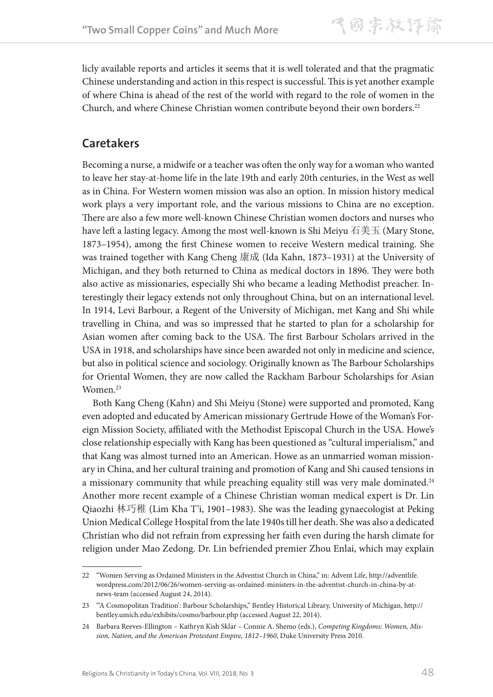licly available reports and articles it seems that it is well tolerated and that the pragmatic Chinese understanding and action in this respect is successful. This is yet another example of where China is ahead of the rest of the world with regard to the role of women in the Church, and where Chinese Christian women contribute beyond their own borders.<sup>22</sup>

## **Caretakers**

Becoming a nurse, a midwife or a teacher was often the only way for a woman who wanted to leave her stay-at-home life in the late 19th and early 20th centuries, in the West as well as in China. For Western women mission was also an option. In mission history medical work plays a very important role, and the various missions to China are no exception. There are also a few more well-known Chinese Christian women doctors and nurses who have left a lasting legacy. Among the most well-known is Shi Meiyu 石美玉 (Mary Stone, 1873–1954), among the first Chinese women to receive Western medical training. She was trained together with Kang Cheng 康成 (Ida Kahn, 1873–1931) at the University of Michigan, and they both returned to China as medical doctors in 1896. They were both also active as missionaries, especially Shi who became a leading Methodist preacher. Interestingly their legacy extends not only throughout China, but on an international level. In 1914, Levi Barbour, a Regent of the University of Michigan, met Kang and Shi while travelling in China, and was so impressed that he started to plan for a scholarship for Asian women after coming back to the USA. The first Barbour Scholars arrived in the USA in 1918, and scholarships have since been awarded not only in medicine and science, but also in political science and sociology. Originally known as The Barbour Scholarships for Oriental Women, they are now called the Rackham Barbour Scholarships for Asian Women.<sup>23</sup>

Both Kang Cheng (Kahn) and Shi Meiyu (Stone) were supported and promoted, Kang even adopted and educated by American missionary Gertrude Howe of the Woman's Foreign Mission Society, affiliated with the Methodist Episcopal Church in the USA. Howe's close relationship especially with Kang has been questioned as "cultural imperialism," and that Kang was almost turned into an American. Howe as an unmarried woman missionary in China, and her cultural training and promotion of Kang and Shi caused tensions in a missionary community that while preaching equality still was very male dominated.<sup>24</sup> Another more recent example of a Chinese Christian woman medical expert is Dr. Lin Qiaozhi 林巧稚 (Lim Kha T'i, 1901–1983). She was the leading gynaecologist at Peking Union Medical College Hospital from the late 1940s till her death. She was also a dedicated Christian who did not refrain from expressing her faith even during the harsh climate for religion under Mao Zedong. Dr. Lin befriended premier Zhou Enlai, which may explain

<sup>22</sup> "Women Serving as Ordained Ministers in the Adventist Church in China," in: Advent Life, http://adventlife. wordpress.com/2012/06/26/women-serving-as-ordained-ministers-in-the-adventist-church-in-china-by-atnews-team (accessed August 24, 2014).

<sup>23</sup> "'A Cosmopolitan Tradition': Barbour Scholarships," Bentley Historical Library, University of Michigan, http:// bentley.umich.edu/exhibits/cosmo/barbour.php (accessed August 22, 2014).

<sup>24</sup> Barbara Reeves-Ellington – Kathryn Kish Sklar – Connie A. Shemo (eds.), *Competing Kingdoms: Women, Mission, Nation, and the American Protestant Empire, 1812–1960*, Duke University Press 2010.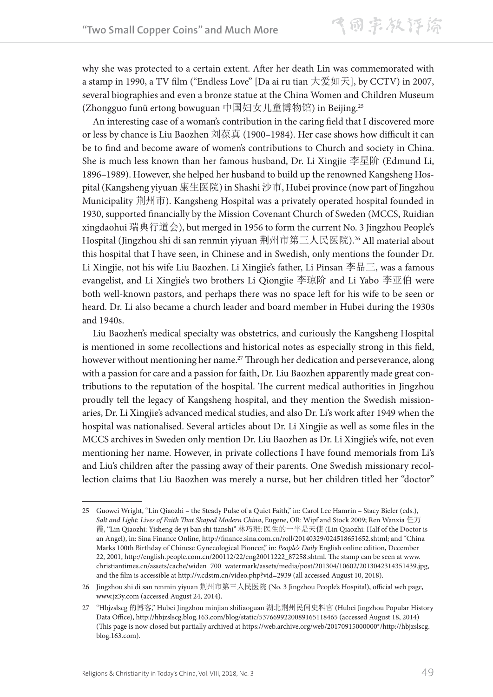why she was protected to a certain extent. After her death Lin was commemorated with a stamp in 1990, a TV film ("Endless Love" [Da ai ru tian 大爱如天], by CCTV) in 2007, several biographies and even a bronze statue at the China Women and Children Museum (Zhongguo funü ertong bowuguan 中国妇女儿童博物馆) in Beijing.25

An interesting case of a woman's contribution in the caring field that I discovered more or less by chance is Liu Baozhen 刘葆真 (1900–1984). Her case shows how difficult it can be to find and become aware of women's contributions to Church and society in China. She is much less known than her famous husband, Dr. Li Xingjie 李星阶 (Edmund Li, 1896–1989). However, she helped her husband to build up the renowned Kangsheng Hospital (Kangsheng yiyuan 康生医院) in Shashi 沙市, Hubei province (now part of Jingzhou Municipality 荆州市). Kangsheng Hospital was a privately operated hospital founded in 1930, supported financially by the Mission Covenant Church of Sweden (MCCS, Ruidian xingdaohui 瑞典行道会), but merged in 1956 to form the current No. 3 Jingzhou People's Hospital (Jingzhou shi di san renmin yiyuan 荆州市第三人民医院).<sup>26</sup> All material about this hospital that I have seen, in Chinese and in Swedish, only mentions the founder Dr. Li Xingjie, not his wife Liu Baozhen. Li Xingjie's father, Li Pinsan 李品三, was a famous evangelist, and Li Xingjie's two brothers Li Qiongjie 李琼阶 and Li Yabo 李亚伯 were both well-known pastors, and perhaps there was no space left for his wife to be seen or heard. Dr. Li also became a church leader and board member in Hubei during the 1930s and 1940s.

Liu Baozhen's medical specialty was obstetrics, and curiously the Kangsheng Hospital is mentioned in some recollections and historical notes as especially strong in this field, however without mentioning her name.<sup>27</sup> Through her dedication and perseverance, along with a passion for care and a passion for faith, Dr. Liu Baozhen apparently made great contributions to the reputation of the hospital. The current medical authorities in Jingzhou proudly tell the legacy of Kangsheng hospital, and they mention the Swedish missionaries, Dr. Li Xingjie's advanced medical studies, and also Dr. Li's work after 1949 when the hospital was nationalised. Several articles about Dr. Li Xingjie as well as some files in the MCCS archives in Sweden only mention Dr. Liu Baozhen as Dr. Li Xingjie's wife, not even mentioning her name. However, in private collections I have found memorials from Li's and Liu's children after the passing away of their parents. One Swedish missionary recollection claims that Liu Baozhen was merely a nurse, but her children titled her "doctor"

<sup>25</sup> Guowei Wright, "Lin Qiaozhi – the Steady Pulse of a Quiet Faith," in: Carol Lee Hamrin – Stacy Bieler (eds.), *Salt and Light: Lives of Faith That Shaped Modern China*, Eugene, OR: Wipf and Stock 2009; Ren Wanxia 任万 霞, "Lin Qiaozhi: Yisheng de yi ban shi tianshi" 林巧稚: 医生的一半是天使 (Lin Qiaozhi: Half of the Doctor is an Angel), in: Sina Finance Online, http://finance.sina.com.cn/roll/20140329/024518651652.shtml; and "China Marks 100th Birthday of Chinese Gynecological Pioneer," in: *People's Daily* English online edition, December 22, 2001, http://english.people.com.cn/200112/22/eng20011222\_87258.shtml. The stamp can be seen at www. christiantimes.cn/assets/cache/widen\_700\_watermark/assets/media/post/201304/10602/2013042314351439.jpg, and the film is accessible at http://v.cdstm.cn/video.php?vid=2939 (all accessed August 10, 2018).

<sup>26</sup> Jingzhou shi di san renmin yiyuan 荆州市第三人民医院 (No. 3 Jingzhou People's Hospital), official web page, www.jz3y.com (accessed August 24, 2014).

<sup>27</sup> "Hbjzslscg 的博客," Hubei Jingzhou minjian shiliaoguan 湖北荆州民间史料官 (Hubei Jingzhou Popular History Data Office), http://hbjzslscg.blog.163.com/blog/static/5376699220089165118465 (accessed August 18, 2014) (This page is now closed but partially archived at https://web.archive.org/web/20170915000000\*/http://hbjzslscg. blog.163.com).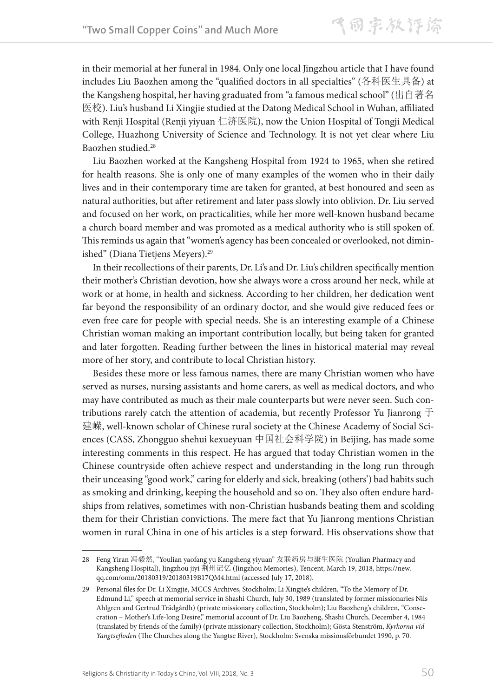in their memorial at her funeral in 1984. Only one local Jingzhou article that I have found includes Liu Baozhen among the "qualified doctors in all specialties" (各科医生具备) at the Kangsheng hospital, her having graduated from "a famous medical school" (出自著名 医校). Liu's husband Li Xingjie studied at the Datong Medical School in Wuhan, affiliated with Renji Hospital (Renji yiyuan 仁济医院), now the Union Hospital of Tongji Medical College, Huazhong University of Science and Technology. It is not yet clear where Liu Baozhen studied.28

Liu Baozhen worked at the Kangsheng Hospital from 1924 to 1965, when she retired for health reasons. She is only one of many examples of the women who in their daily lives and in their contemporary time are taken for granted, at best honoured and seen as natural authorities, but after retirement and later pass slowly into oblivion. Dr. Liu served and focused on her work, on practicalities, while her more well-known husband became a church board member and was promoted as a medical authority who is still spoken of. This reminds us again that "women's agency has been concealed or overlooked, not diminished" (Diana Tietjens Meyers).<sup>29</sup>

In their recollections of their parents, Dr. Li's and Dr. Liu's children specifically mention their mother's Christian devotion, how she always wore a cross around her neck, while at work or at home, in health and sickness. According to her children, her dedication went far beyond the responsibility of an ordinary doctor, and she would give reduced fees or even free care for people with special needs. She is an interesting example of a Chinese Christian woman making an important contribution locally, but being taken for granted and later forgotten. Reading further between the lines in historical material may reveal more of her story, and contribute to local Christian history.

Besides these more or less famous names, there are many Christian women who have served as nurses, nursing assistants and home carers, as well as medical doctors, and who may have contributed as much as their male counterparts but were never seen. Such contributions rarely catch the attention of academia, but recently Professor Yu Jianrong 于 建嵘, well-known scholar of Chinese rural society at the Chinese Academy of Social Sciences (CASS, Zhongguo shehui kexueyuan 中国社会科学院) in Beijing, has made some interesting comments in this respect. He has argued that today Christian women in the Chinese countryside often achieve respect and understanding in the long run through their unceasing "good work," caring for elderly and sick, breaking (others') bad habits such as smoking and drinking, keeping the household and so on. They also often endure hardships from relatives, sometimes with non-Christian husbands beating them and scolding them for their Christian convictions. The mere fact that Yu Jianrong mentions Christian women in rural China in one of his articles is a step forward. His observations show that

<sup>28</sup> Feng Yiran 冯毅然, "Youlian yaofang yu Kangsheng yiyuan" 友联药房与康生医院 (Youlian Pharmacy and Kangsheng Hospital), Jingzhou jiyi 荆州记忆 (Jingzhou Memories), Tencent, March 19, 2018, https://new. qq.com/omn/20180319/20180319B17QM4.html (accessed July 17, 2018).

<sup>29</sup> Personal files for Dr. Li Xingjie, MCCS Archives, Stockholm; Li Xingjie's children, "To the Memory of Dr. Edmund Li," speech at memorial service in Shashi Church, July 30, 1989 (translated by former missionaries Nils Ahlgren and Gertrud Trädgårdh) (private missionary collection, Stockholm); Liu Baozheng's children, "Consecration – Mother's Life-long Desire," memorial account of Dr. Liu Baozheng, Shashi Church, December 4, 1984 (translated by friends of the family) (private missionary collection, Stockholm); Gösta Stenström, *Kyrkorna vid Yangtsefloden* (The Churches along the Yangtse River), Stockholm: Svenska missionsförbundet 1990, p. 70.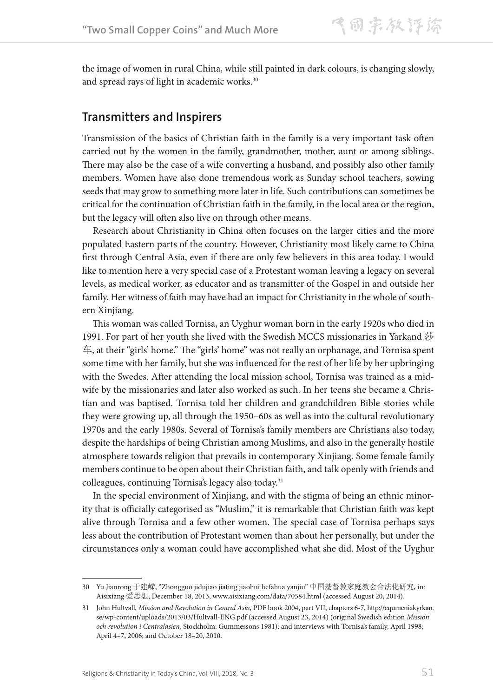the image of women in rural China, while still painted in dark colours, is changing slowly, and spread rays of light in academic works.<sup>30</sup>

#### **Transmitters and Inspirers**

Transmission of the basics of Christian faith in the family is a very important task often carried out by the women in the family, grandmother, mother, aunt or among siblings. There may also be the case of a wife converting a husband, and possibly also other family members. Women have also done tremendous work as Sunday school teachers, sowing seeds that may grow to something more later in life. Such contributions can sometimes be critical for the continuation of Christian faith in the family, in the local area or the region, but the legacy will often also live on through other means.

Research about Christianity in China often focuses on the larger cities and the more populated Eastern parts of the country. However, Christianity most likely came to China first through Central Asia, even if there are only few believers in this area today. I would like to mention here a very special case of a Protestant woman leaving a legacy on several levels, as medical worker, as educator and as transmitter of the Gospel in and outside her family. Her witness of faith may have had an impact for Christianity in the whole of southern Xinjiang.

This woman was called Tornisa, an Uyghur woman born in the early 1920s who died in 1991. For part of her youth she lived with the Swedish MCCS missionaries in Yarkand 莎 车, at their "girls' home." The "girls' home" was not really an orphanage, and Tornisa spent some time with her family, but she was influenced for the rest of her life by her upbringing with the Swedes. After attending the local mission school, Tornisa was trained as a midwife by the missionaries and later also worked as such. In her teens she became a Christian and was baptised. Tornisa told her children and grandchildren Bible stories while they were growing up, all through the 1950–60s as well as into the cultural revolutionary 1970s and the early 1980s. Several of Tornisa's family members are Christians also today, despite the hardships of being Christian among Muslims, and also in the generally hostile atmosphere towards religion that prevails in contemporary Xinjiang. Some female family members continue to be open about their Christian faith, and talk openly with friends and colleagues, continuing Tornisa's legacy also today.<sup>31</sup>

In the special environment of Xinjiang, and with the stigma of being an ethnic minority that is officially categorised as "Muslim," it is remarkable that Christian faith was kept alive through Tornisa and a few other women. The special case of Tornisa perhaps says less about the contribution of Protestant women than about her personally, but under the circumstances only a woman could have accomplished what she did. Most of the Uyghur

<sup>30</sup> Yu Jianrong 于建嵘, "Zhongguo jidujiao jiating jiaohui hefahua yanjiu" 中国基督教家庭教会合法化研究, in: Aisixiang 爱思想, December 18, 2013, www.aisixiang.com/data/70584.html (accessed August 20, 2014).

<sup>31</sup> John Hultvall, *Mission and Revolution in Central Asia*, PDF book 2004, part VII, chapters 6-7, http://equmeniakyrkan. se/wp-content/uploads/2013/03/Hultvall-ENG.pdf (accessed August 23, 2014) (original Swedish edition *Mission och revolution i Centralasien*, Stockholm: Gummessons 1981); and interviews with Tornisa's family, April 1998; April 4–7, 2006; and October 18–20, 2010.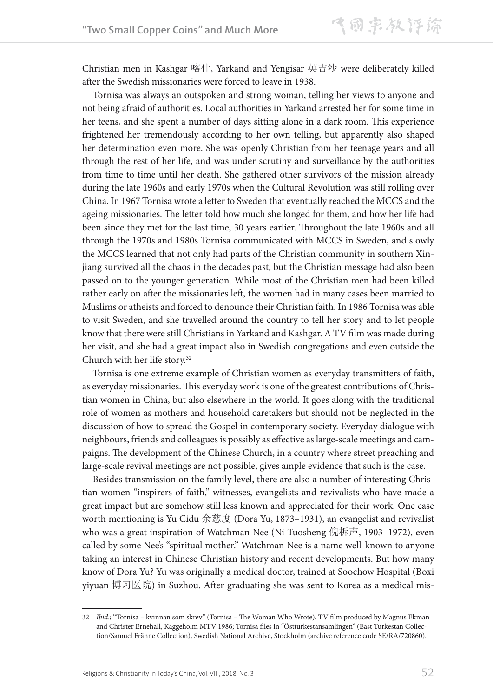Christian men in Kashgar 喀什, Yarkand and Yengisar 英吉沙 were deliberately killed after the Swedish missionaries were forced to leave in 1938.

Tornisa was always an outspoken and strong woman, telling her views to anyone and not being afraid of authorities. Local authorities in Yarkand arrested her for some time in her teens, and she spent a number of days sitting alone in a dark room. This experience frightened her tremendously according to her own telling, but apparently also shaped her determination even more. She was openly Christian from her teenage years and all through the rest of her life, and was under scrutiny and surveillance by the authorities from time to time until her death. She gathered other survivors of the mission already during the late 1960s and early 1970s when the Cultural Revolution was still rolling over China. In 1967 Tornisa wrote a letter to Sweden that eventually reached the MCCS and the ageing missionaries. The letter told how much she longed for them, and how her life had been since they met for the last time, 30 years earlier. Throughout the late 1960s and all through the 1970s and 1980s Tornisa communicated with MCCS in Sweden, and slowly the MCCS learned that not only had parts of the Christian community in southern Xinjiang survived all the chaos in the decades past, but the Christian message had also been passed on to the younger generation. While most of the Christian men had been killed rather early on after the missionaries left, the women had in many cases been married to Muslims or atheists and forced to denounce their Christian faith. In 1986 Tornisa was able to visit Sweden, and she travelled around the country to tell her story and to let people know that there were still Christians in Yarkand and Kashgar. A TV film was made during her visit, and she had a great impact also in Swedish congregations and even outside the Church with her life story.32

Tornisa is one extreme example of Christian women as everyday transmitters of faith, as everyday missionaries. This everyday work is one of the greatest contributions of Christian women in China, but also elsewhere in the world. It goes along with the traditional role of women as mothers and household caretakers but should not be neglected in the discussion of how to spread the Gospel in contemporary society. Everyday dialogue with neighbours, friends and colleagues is possibly as effective as large-scale meetings and campaigns. The development of the Chinese Church, in a country where street preaching and large-scale revival meetings are not possible, gives ample evidence that such is the case.

Besides transmission on the family level, there are also a number of interesting Christian women "inspirers of faith," witnesses, evangelists and revivalists who have made a great impact but are somehow still less known and appreciated for their work. One case worth mentioning is Yu Cidu 余慈度 (Dora Yu, 1873–1931), an evangelist and revivalist who was a great inspiration of Watchman Nee (Ni Tuosheng 倪柝声, 1903–1972), even called by some Nee's "spiritual mother." Watchman Nee is a name well-known to anyone taking an interest in Chinese Christian history and recent developments. But how many know of Dora Yu? Yu was originally a medical doctor, trained at Soochow Hospital (Boxi yiyuan 博习医院) in Suzhou. After graduating she was sent to Korea as a medical mis-

<sup>32</sup> *Ibid*.; "Tornisa – kvinnan som skrev" (Tornisa – The Woman Who Wrote), TV film produced by Magnus Ekman and Christer Ernehall, Kaggeholm MTV 1986; Tornisa files in "Östturkestansamlingen" (East Turkestan Collection/Samuel Fränne Collection), Swedish National Archive, Stockholm (archive reference code SE/RA/720860).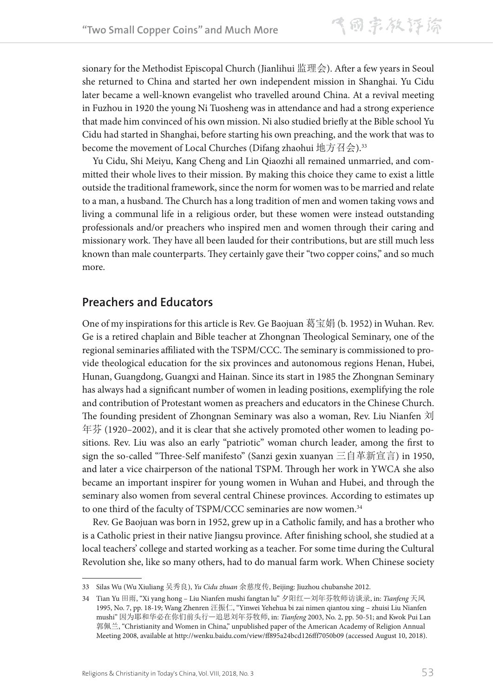sionary for the Methodist Episcopal Church (Jianlihui 监理会). After a few years in Seoul she returned to China and started her own independent mission in Shanghai. Yu Cidu later became a well-known evangelist who travelled around China. At a revival meeting in Fuzhou in 1920 the young Ni Tuosheng was in attendance and had a strong experience that made him convinced of his own mission. Ni also studied briefly at the Bible school Yu Cidu had started in Shanghai, before starting his own preaching, and the work that was to become the movement of Local Churches (Difang zhaohui 地方召会).<sup>33</sup>

Yu Cidu, Shi Meiyu, Kang Cheng and Lin Qiaozhi all remained unmarried, and committed their whole lives to their mission. By making this choice they came to exist a little outside the traditional framework, since the norm for women was to be married and relate to a man, a husband. The Church has a long tradition of men and women taking vows and living a communal life in a religious order, but these women were instead outstanding professionals and/or preachers who inspired men and women through their caring and missionary work. They have all been lauded for their contributions, but are still much less known than male counterparts. They certainly gave their "two copper coins," and so much more.

## **Preachers and Educators**

One of my inspirations for this article is Rev. Ge Baojuan 葛宝娟 (b. 1952) in Wuhan. Rev. Ge is a retired chaplain and Bible teacher at Zhongnan Theological Seminary, one of the regional seminaries affiliated with the TSPM/CCC. The seminary is commissioned to provide theological education for the six provinces and autonomous regions Henan, Hubei, Hunan, Guangdong, Guangxi and Hainan. Since its start in 1985 the Zhongnan Seminary has always had a significant number of women in leading positions, exemplifying the role and contribution of Protestant women as preachers and educators in the Chinese Church. The founding president of Zhongnan Seminary was also a woman, Rev. Liu Nianfen 刘 年芬 (1920–2002), and it is clear that she actively promoted other women to leading positions. Rev. Liu was also an early "patriotic" woman church leader, among the first to sign the so-called "Three-Self manifesto" (Sanzi gexin xuanyan 三自革新宣言) in 1950, and later a vice chairperson of the national TSPM. Through her work in YWCA she also became an important inspirer for young women in Wuhan and Hubei, and through the seminary also women from several central Chinese provinces. According to estimates up to one third of the faculty of TSPM/CCC seminaries are now women.<sup>34</sup>

Rev. Ge Baojuan was born in 1952, grew up in a Catholic family, and has a brother who is a Catholic priest in their native Jiangsu province. After finishing school, she studied at a local teachers' college and started working as a teacher. For some time during the Cultural Revolution she, like so many others, had to do manual farm work. When Chinese society

<sup>33</sup> Silas Wu (Wu Xiuliang 吴秀良), *Yu Cidu zhuan* 余慈度传, Beijing: Jiuzhou chubanshe 2012.

<sup>34</sup> Tian Yu 田雨, "Xi yang hong – Liu Nianfen mushi fangtan lu" 夕阳红—刘年芬牧师访谈录, in: *Tianfeng* 天风 1995, No. 7, pp. 18-19; Wang Zhenren 汪振仁, "Yinwei Yehehua bi zai nimen qiantou xing – zhuisi Liu Nianfen mushi" 因为耶和华必在你们前头行—追思刘年芬牧师, in: *Tianfeng* 2003, No. 2, pp. 50-51; and Kwok Pui Lan 郭佩兰, "Christianity and Women in China," unpublished paper of the American Academy of Religion Annual Meeting 2008, available at http://wenku.baidu.com/view/ff895a24bcd126fff7050b09 (accessed August 10, 2018).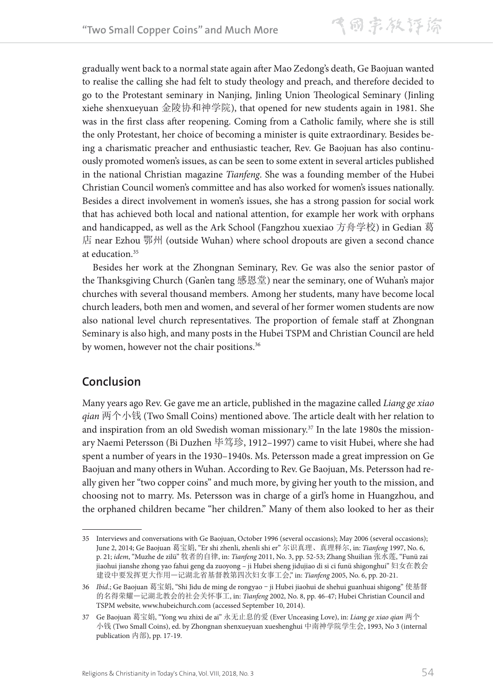gradually went back to a normal state again after Mao Zedong's death, Ge Baojuan wanted to realise the calling she had felt to study theology and preach, and therefore decided to go to the Protestant seminary in Nanjing, Jinling Union Theological Seminary (Jinling xiehe shenxueyuan 金陵协和神学院), that opened for new students again in 1981. She was in the first class after reopening. Coming from a Catholic family, where she is still the only Protestant, her choice of becoming a minister is quite extraordinary. Besides being a charismatic preacher and enthusiastic teacher, Rev. Ge Baojuan has also continuously promoted women's issues, as can be seen to some extent in several articles published in the national Christian magazine *Tianfeng*. She was a founding member of the Hubei Christian Council women's committee and has also worked for women's issues nationally. Besides a direct involvement in women's issues, she has a strong passion for social work that has achieved both local and national attention, for example her work with orphans and handicapped, as well as the Ark School (Fangzhou xuexiao 方舟学校) in Gedian 葛 店 near Ezhou 鄂州 (outside Wuhan) where school dropouts are given a second chance at education.35

Besides her work at the Zhongnan Seminary, Rev. Ge was also the senior pastor of the Thanksgiving Church (Gan'en tang 感恩堂) near the seminary, one of Wuhan's major churches with several thousand members. Among her students, many have become local church leaders, both men and women, and several of her former women students are now also national level church representatives. The proportion of female staff at Zhongnan Seminary is also high, and many posts in the Hubei TSPM and Christian Council are held by women, however not the chair positions.<sup>36</sup>

## **Conclusion**

Many years ago Rev. Ge gave me an article, published in the magazine called *Liang ge xiao qian* 两个小钱 (Two Small Coins) mentioned above. The article dealt with her relation to and inspiration from an old Swedish woman missionary.<sup>37</sup> In the late 1980s the missionary Naemi Petersson (Bi Duzhen 毕笃珍, 1912–1997) came to visit Hubei, where she had spent a number of years in the 1930–1940s. Ms. Petersson made a great impression on Ge Baojuan and many others in Wuhan. According to Rev. Ge Baojuan, Ms. Petersson had really given her "two copper coins" and much more, by giving her youth to the mission, and choosing not to marry. Ms. Petersson was in charge of a girl's home in Huangzhou, and the orphaned children became "her children." Many of them also looked to her as their

<sup>35</sup> Interviews and conversations with Ge Baojuan, October 1996 (several occasions); May 2006 (several occasions); June 2, 2014; Ge Baojuan 葛宝娟, "Er shi zhenli, zhenli shi er" 尔识真理、真理释尔, in: *Tianfeng* 1997, No. 6, p. 21; *idem*, "Muzhe de zilü" 牧者的自律, in: *Tianfeng* 2011, No. 3, pp. 52-53; Zhang Shuilian 张水莲, "Funü zai jiaohui jianshe zhong yao fahui geng da zuoyong – ji Hubei sheng jidujiao di si ci funü shigonghui" 妇女在教会 建设中要发挥更大作用—记湖北省基督教第四次妇女事工会," in: *Tianfeng* 2005, No. 6, pp. 20-21.

<sup>36</sup> *Ibid*.; Ge Baojuan 葛宝娟, "Shi Jidu de ming de rongyao – ji Hubei jiaohui de shehui guanhuai shigong" 使基督 的名得荣耀—记湖北教会的社会关怀事工, in: *Tianfeng* 2002, No. 8, pp. 46-47; Hubei Christian Council and TSPM website, www.hubeichurch.com (accessed September 10, 2014).

<sup>37</sup> Ge Baojuan 葛宝娟, "Yong wu zhixi de ai" 永无止息的爱 (Ever Unceasing Love), in: *Liang ge xiao qian* 两个 小钱 (Two Small Coins), ed. by Zhongnan shenxueyuan xueshenghui 中南神学院学生会, 1993, No 3 (internal publication 内部), pp. 17-19.